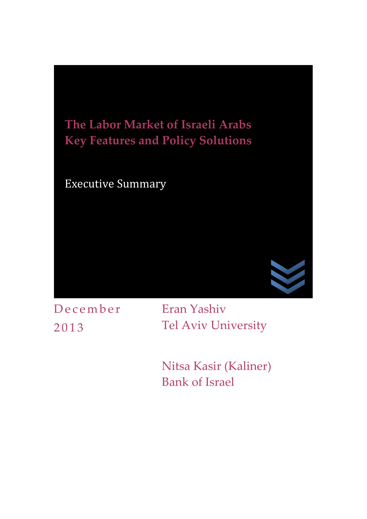

2013

Tel Aviv University

Nitsa Kasir (Kaliner) Bank of Israel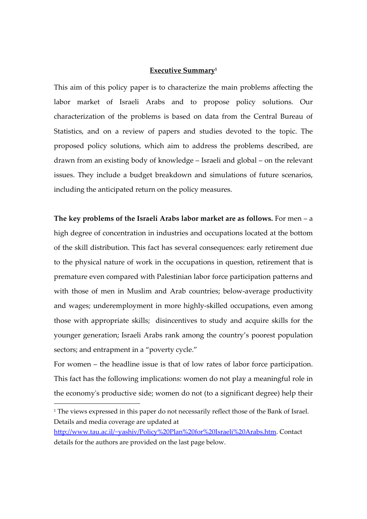## **Executive Summary1**

This aim of this policy paper is to characterize the main problems affecting the labor market of Israeli Arabs and to propose policy solutions. Our characterization of the problems is based on data from the Central Bureau of Statistics, and on a review of papers and studies devoted to the topic. The proposed policy solutions, which aim to address the problems described, are drawn from an existing body of knowledge – Israeli and global – on the relevant issues. They include a budget breakdown and simulations of future scenarios, including the anticipated return on the policy measures.

**The key problems of the Israeli Arabs labor market are as follows.** For men – a high degree of concentration in industries and occupations located at the bottom of the skill distribution. This fact has several consequences: early retirement due to the physical nature of work in the occupations in question, retirement that is premature even compared with Palestinian labor force participation patterns and with those of men in Muslim and Arab countries; below-average productivity and wages; underemployment in more highly-skilled occupations, even among those with appropriate skills; disincentives to study and acquire skills for the younger generation; Israeli Arabs rank among the country's poorest population sectors; and entrapment in a "poverty cycle."

For women – the headline issue is that of low rates of labor force participation. This fact has the following implications: women do not play a meaningful role in the economy's productive side; women do not (to a significant degree) help their

 $\overline{\phantom{a}}$ 

<sup>&</sup>lt;sup>1</sup> The views expressed in this paper do not necessarily reflect those of the Bank of Israel. Details and media coverage are updated at

http://www.tau.ac.il/~yashiv/Policy%20Plan%20for%20Israeli%20Arabs.htm. Contact details for the authors are provided on the last page below.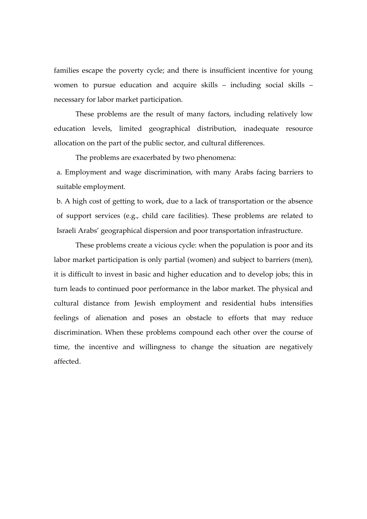families escape the poverty cycle; and there is insufficient incentive for young women to pursue education and acquire skills – including social skills – necessary for labor market participation.

 These problems are the result of many factors, including relatively low education levels, limited geographical distribution, inadequate resource allocation on the part of the public sector, and cultural differences.

The problems are exacerbated by two phenomena:

a. Employment and wage discrimination, with many Arabs facing barriers to suitable employment.

b. A high cost of getting to work, due to a lack of transportation or the absence of support services (e.g., child care facilities). These problems are related to Israeli Arabs' geographical dispersion and poor transportation infrastructure.

These problems create a vicious cycle: when the population is poor and its labor market participation is only partial (women) and subject to barriers (men), it is difficult to invest in basic and higher education and to develop jobs; this in turn leads to continued poor performance in the labor market. The physical and cultural distance from Jewish employment and residential hubs intensifies feelings of alienation and poses an obstacle to efforts that may reduce discrimination. When these problems compound each other over the course of time, the incentive and willingness to change the situation are negatively affected.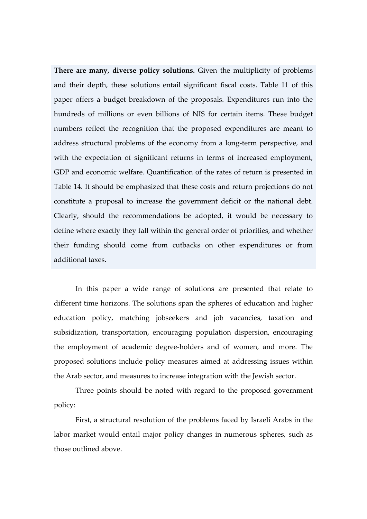**There are many, diverse policy solutions.** Given the multiplicity of problems and their depth, these solutions entail significant fiscal costs. Table 11 of this paper offers a budget breakdown of the proposals. Expenditures run into the hundreds of millions or even billions of NIS for certain items. These budget numbers reflect the recognition that the proposed expenditures are meant to address structural problems of the economy from a long-term perspective, and with the expectation of significant returns in terms of increased employment, GDP and economic welfare. Quantification of the rates of return is presented in Table 14. It should be emphasized that these costs and return projections do not constitute a proposal to increase the government deficit or the national debt. Clearly, should the recommendations be adopted, it would be necessary to define where exactly they fall within the general order of priorities, and whether their funding should come from cutbacks on other expenditures or from additional taxes.

 In this paper a wide range of solutions are presented that relate to different time horizons. The solutions span the spheres of education and higher education policy, matching jobseekers and job vacancies, taxation and subsidization, transportation, encouraging population dispersion, encouraging the employment of academic degree-holders and of women, and more. The proposed solutions include policy measures aimed at addressing issues within the Arab sector, and measures to increase integration with the Jewish sector.

 Three points should be noted with regard to the proposed government policy:

 First, a structural resolution of the problems faced by Israeli Arabs in the labor market would entail major policy changes in numerous spheres, such as those outlined above.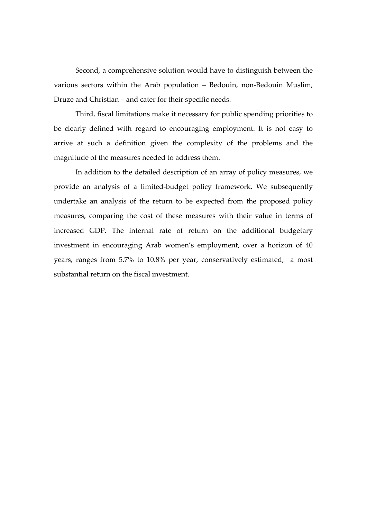Second, a comprehensive solution would have to distinguish between the various sectors within the Arab population – Bedouin, non-Bedouin Muslim, Druze and Christian – and cater for their specific needs.

Third, fiscal limitations make it necessary for public spending priorities to be clearly defined with regard to encouraging employment. It is not easy to arrive at such a definition given the complexity of the problems and the magnitude of the measures needed to address them.

In addition to the detailed description of an array of policy measures, we provide an analysis of a limited-budget policy framework. We subsequently undertake an analysis of the return to be expected from the proposed policy measures, comparing the cost of these measures with their value in terms of increased GDP. The internal rate of return on the additional budgetary investment in encouraging Arab women's employment, over a horizon of 40 years, ranges from 5.7% to 10.8% per year, conservatively estimated, a most substantial return on the fiscal investment.